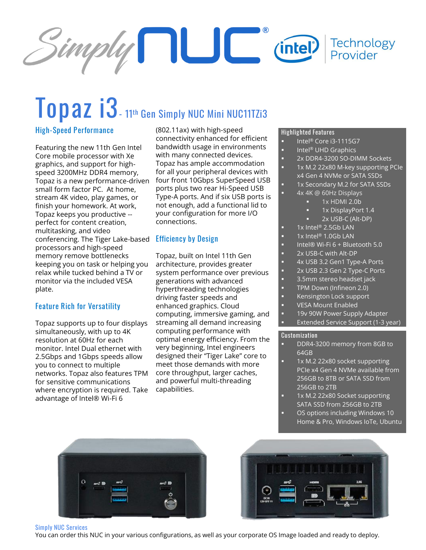

# **Topaz i3- <sup>11</sup>th Gen Simply NUC Mini NUC11TZi3**

#### **High-Speed Performance**

Featuring the new 11th Gen Intel Core mobile processor with Xe graphics, and support for highspeed 3200MHz DDR4 memory, Topaz is a new performance-driven small form factor PC. At home, stream 4K video, play games, or finish your homework. At work, Topaz keeps you productive - perfect for content creation, multitasking, and video conferencing. The Tiger Lake-based **Efficiency by Design** processors and high-speed memory remove bottlenecks keeping you on task or helping you relax while tucked behind a TV or monitor via the included VESA plate.

#### **Feature Rich for Versatility**

Topaz supports up to four displays simultaneously, with up to 4K resolution at 60Hz for each monitor. Intel Dual ethernet with 2.5Gbps and 1Gbps speeds allow you to connect to multiple networks. Topaz also features TPM for sensitive communications where encryption is required. Take advantage of Intel® Wi-Fi 6

(802.11ax) with high-speed connectivity enhanced for efficient bandwidth usage in environments with many connected devices. Topaz has ample accommodation for all your peripheral devices with four front 10Gbps SuperSpeed USB ports plus two rear Hi-Speed USB Type-A ports. And if six USB ports is not enough, add a functional lid to your configuration for more I/O connections.

Topaz, built on Intel 11th Gen architecture, provides greater system performance over previous generations with advanced hyperthreading technologies driving faster speeds and enhanced graphics. Cloud computing, immersive gaming, and streaming all demand increasing computing performance with optimal energy efficiency. From the very beginning, Intel engineers designed their "Tiger Lake" core to meet those demands with more core throughput, larger caches, and powerful multi-threading capabilities.

#### **Highlighted Features**

- Intel® Core i3-1115G7
- Intel<sup>®</sup> UHD Graphics
- 2x DDR4-3200 SO-DIMM Sockets
- 1x M.2 22x80 M-key supporting PCIe
- x4 Gen 4 NVMe or SATA SSDs
- 1x Secondary M.2 for SATA SSDs
- 4x 4K @ 60Hz Displays
	- 1x HDMI 2.0b
	- 1x DisplayPort 1.4
	- 2x USB-C (Alt-DP)
- $1x$  Intel® 2.5Gb LAN
- 1x Intel® 1.0Gb LAN
- Intel® Wi-Fi 6 + Bluetooth 5.0
- 2x USB-C with Alt-DP
- 4x USB 3.2 Gen1 Type-A Ports
- 2x USB 2.3 Gen 2 Type-C Ports
- 3.5mm stereo headset jack
- TPM Down (Infineon 2.0)
- Kensington Lock support
- **VESA Mount Enabled**
- 19v 90W Power Supply Adapter Extended Service Support (1-3 year)

#### **Customization**

- DDR4-3200 memory from 8GB to 64GB
- 1x M.2 22x80 socket supporting PCIe x4 Gen 4 NVMe available from 256GB to 8TB or SATA SSD from 256GB to 2TB
- 1x M.2 22x80 Socket supporting SATA SSD from 256GB to 2TB OS options including Windows 10
- Home & Pro, Windows IoTe, Ubuntu





#### **Simply NUC Services**

You can order this NUC in your various configurations, as well as your corporate OS Image loaded and ready to deploy.